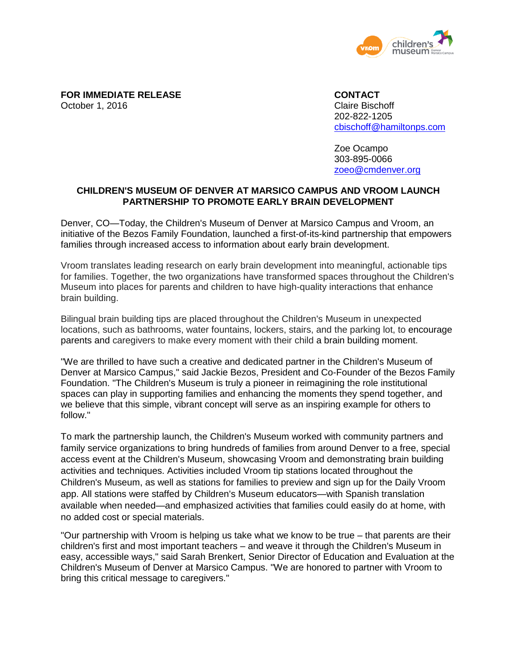

**FOR IMMEDIATE RELEASE CONTACT** October 1, 2016 **Claire Bischoff** 

202-822-1205 [cbischoff@hamiltonps.com](mailto:cbischoff@hamiltonps.com)

Zoe Ocampo 303-895-0066 [zoeo@cmdenver.org](mailto:zoeo@cmdenver.org)

## **CHILDREN'S MUSEUM OF DENVER AT MARSICO CAMPUS AND VROOM LAUNCH PARTNERSHIP TO PROMOTE EARLY BRAIN DEVELOPMENT**

Denver, CO—Today, the Children's Museum of Denver at Marsico Campus and Vroom, an initiative of the Bezos Family Foundation, launched a first-of-its-kind partnership that empowers families through increased access to information about early brain development.

Vroom translates leading research on early brain development into meaningful, actionable tips for families. Together, the two organizations have transformed spaces throughout the Children's Museum into places for parents and children to have high-quality interactions that enhance brain building.

Bilingual brain building tips are placed throughout the Children's Museum in unexpected locations, such as bathrooms, water fountains, lockers, stairs, and the parking lot, to encourage parents and caregivers to make every moment with their child a brain building moment.

"We are thrilled to have such a creative and dedicated partner in the Children's Museum of Denver at Marsico Campus," said Jackie Bezos, President and Co-Founder of the Bezos Family Foundation. "The Children's Museum is truly a pioneer in reimagining the role institutional spaces can play in supporting families and enhancing the moments they spend together, and we believe that this simple, vibrant concept will serve as an inspiring example for others to follow."

To mark the partnership launch, the Children's Museum worked with community partners and family service organizations to bring hundreds of families from around Denver to a free, special access event at the Children's Museum, showcasing Vroom and demonstrating brain building activities and techniques. Activities included Vroom tip stations located throughout the Children's Museum, as well as stations for families to preview and sign up for the Daily Vroom app. All stations were staffed by Children's Museum educators—with Spanish translation available when needed—and emphasized activities that families could easily do at home, with no added cost or special materials.

"Our partnership with Vroom is helping us take what we know to be true – that parents are their children's first and most important teachers – and weave it through the Children's Museum in easy, accessible ways," said Sarah Brenkert, Senior Director of Education and Evaluation at the Children's Museum of Denver at Marsico Campus. "We are honored to partner with Vroom to bring this critical message to caregivers."